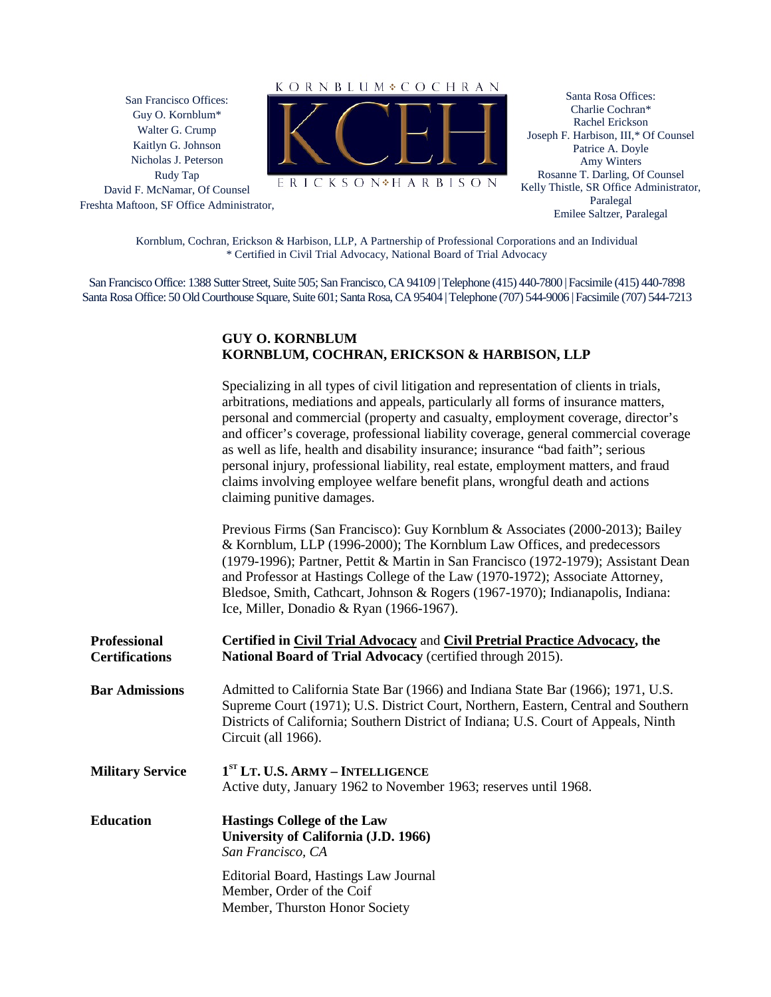San Francisco Offices: Guy O. Kornblum\* Walter G. Crump Kaitlyn G. Johnson Nicholas J. Peterson Rudy Tap David F. McNamar, Of Counsel

Freshta Maftoon, SF Office Administrator,



ERICKSON<sup>\*</sup>HARBISON

Santa Rosa Offices: Charlie Cochran\* Rachel Erickson Joseph F. Harbison, III,\* Of Counsel Patrice A. Doyle Amy Winters Rosanne T. Darling, Of Counsel Kelly Thistle, SR Office Administrator, Paralegal Emilee Saltzer, Paralegal

Kornblum, Cochran, Erickson & Harbison, LLP, A Partnership of Professional Corporations and an Individual \* Certified in Civil Trial Advocacy, National Board of Trial Advocacy

San Francisco Office: 1388 Sutter Street, Suite 505; San Francisco, CA 94109 | Telephone (415) 440-7800 | Facsimile (415) 440-7898 Santa Rosa Office: 50 Old Courthouse Square, Suite 601; Santa Rosa, CA 95404 | Telephone (707) 544-9006 | Facsimile (707) 544-7213

#### **GUY O. KORNBLUM KORNBLUM, COCHRAN, ERICKSON & HARBISON, LLP**

|                                              | Specializing in all types of civil litigation and representation of clients in trials,<br>arbitrations, mediations and appeals, particularly all forms of insurance matters,<br>personal and commercial (property and casualty, employment coverage, director's<br>and officer's coverage, professional liability coverage, general commercial coverage<br>as well as life, health and disability insurance; insurance "bad faith"; serious<br>personal injury, professional liability, real estate, employment matters, and fraud<br>claims involving employee welfare benefit plans, wrongful death and actions<br>claiming punitive damages. |
|----------------------------------------------|-------------------------------------------------------------------------------------------------------------------------------------------------------------------------------------------------------------------------------------------------------------------------------------------------------------------------------------------------------------------------------------------------------------------------------------------------------------------------------------------------------------------------------------------------------------------------------------------------------------------------------------------------|
|                                              | Previous Firms (San Francisco): Guy Kornblum & Associates (2000-2013); Bailey<br>& Kornblum, LLP (1996-2000); The Kornblum Law Offices, and predecessors<br>(1979-1996); Partner, Pettit & Martin in San Francisco (1972-1979); Assistant Dean<br>and Professor at Hastings College of the Law (1970-1972); Associate Attorney,<br>Bledsoe, Smith, Cathcart, Johnson & Rogers (1967-1970); Indianapolis, Indiana:<br>Ice, Miller, Donadio & Ryan (1966-1967).                                                                                                                                                                                   |
| <b>Professional</b><br><b>Certifications</b> | Certified in Civil Trial Advocacy and Civil Pretrial Practice Advocacy, the<br>National Board of Trial Advocacy (certified through 2015).                                                                                                                                                                                                                                                                                                                                                                                                                                                                                                       |
| <b>Bar Admissions</b>                        | Admitted to California State Bar (1966) and Indiana State Bar (1966); 1971, U.S.<br>Supreme Court (1971); U.S. District Court, Northern, Eastern, Central and Southern<br>Districts of California; Southern District of Indiana; U.S. Court of Appeals, Ninth<br>Circuit (all 1966).                                                                                                                                                                                                                                                                                                                                                            |
| <b>Military Service</b>                      | 1 <sup>ST</sup> LT. U.S. ARMY - INTELLIGENCE<br>Active duty, January 1962 to November 1963; reserves until 1968.                                                                                                                                                                                                                                                                                                                                                                                                                                                                                                                                |
| <b>Education</b>                             | <b>Hastings College of the Law</b><br>University of California (J.D. 1966)<br>San Francisco, CA                                                                                                                                                                                                                                                                                                                                                                                                                                                                                                                                                 |
|                                              | Editorial Board, Hastings Law Journal<br>Member, Order of the Coif<br>Member, Thurston Honor Society                                                                                                                                                                                                                                                                                                                                                                                                                                                                                                                                            |
|                                              |                                                                                                                                                                                                                                                                                                                                                                                                                                                                                                                                                                                                                                                 |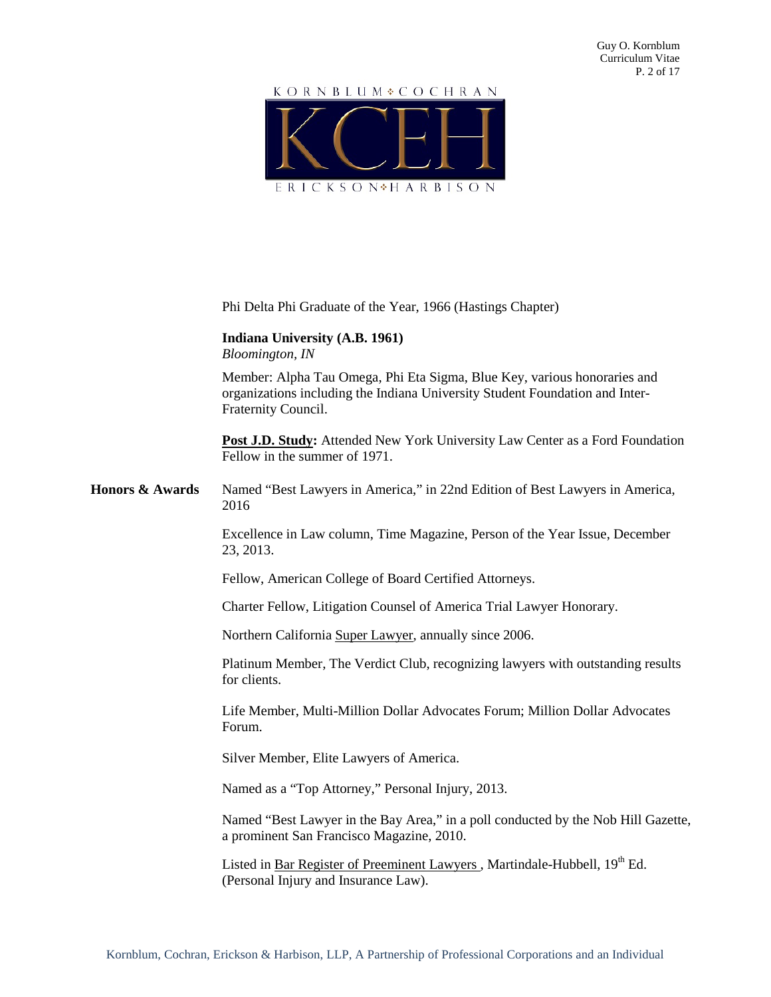

|                            | Phi Delta Phi Graduate of the Year, 1966 (Hastings Chapter)                                                                                                                     |
|----------------------------|---------------------------------------------------------------------------------------------------------------------------------------------------------------------------------|
|                            | Indiana University (A.B. 1961)<br>Bloomington, IN                                                                                                                               |
|                            | Member: Alpha Tau Omega, Phi Eta Sigma, Blue Key, various honoraries and<br>organizations including the Indiana University Student Foundation and Inter-<br>Fraternity Council. |
|                            | Post J.D. Study: Attended New York University Law Center as a Ford Foundation<br>Fellow in the summer of 1971.                                                                  |
| <b>Honors &amp; Awards</b> | Named "Best Lawyers in America," in 22nd Edition of Best Lawyers in America,<br>2016                                                                                            |
|                            | Excellence in Law column, Time Magazine, Person of the Year Issue, December<br>23, 2013.                                                                                        |
|                            | Fellow, American College of Board Certified Attorneys.                                                                                                                          |
|                            | Charter Fellow, Litigation Counsel of America Trial Lawyer Honorary.                                                                                                            |
|                            | Northern California Super Lawyer, annually since 2006.                                                                                                                          |
|                            | Platinum Member, The Verdict Club, recognizing lawyers with outstanding results<br>for clients.                                                                                 |
|                            | Life Member, Multi-Million Dollar Advocates Forum; Million Dollar Advocates<br>Forum.                                                                                           |
|                            | Silver Member, Elite Lawyers of America.                                                                                                                                        |
|                            | Named as a "Top Attorney," Personal Injury, 2013.                                                                                                                               |
|                            | Named "Best Lawyer in the Bay Area," in a poll conducted by the Nob Hill Gazette,<br>a prominent San Francisco Magazine, 2010.                                                  |
|                            | Listed in Bar Register of Preeminent Lawyers, Martindale-Hubbell, 19th Ed.<br>(Personal Injury and Insurance Law).                                                              |
|                            |                                                                                                                                                                                 |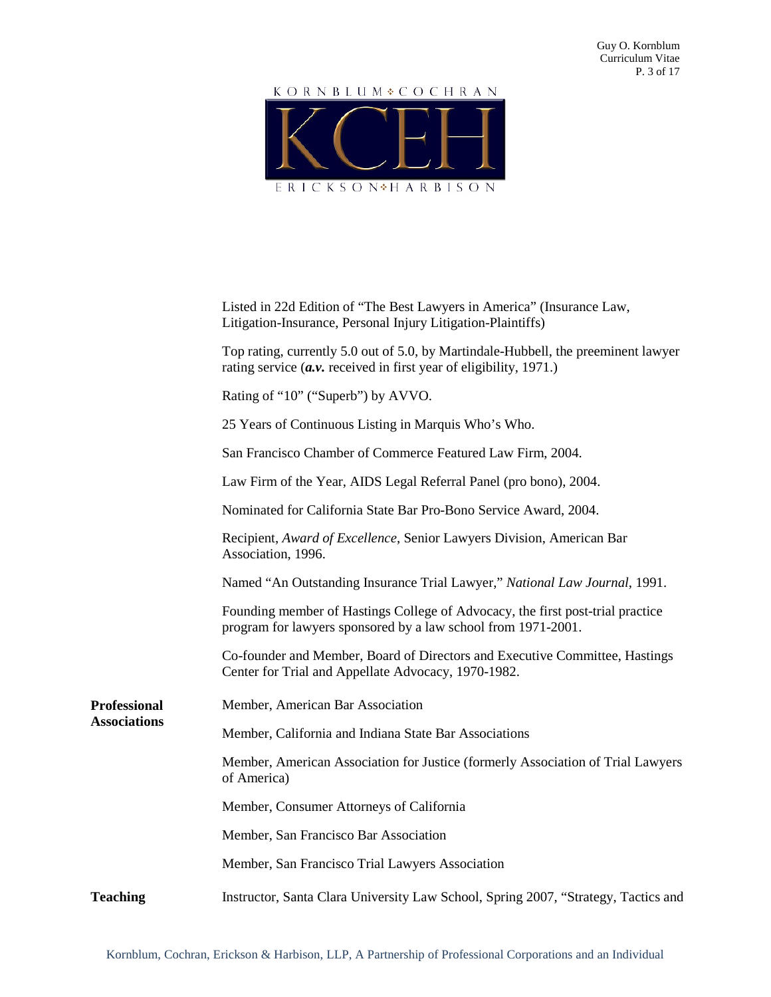

|                                            | Listed in 22d Edition of "The Best Lawyers in America" (Insurance Law,<br>Litigation-Insurance, Personal Injury Litigation-Plaintiffs)                       |
|--------------------------------------------|--------------------------------------------------------------------------------------------------------------------------------------------------------------|
|                                            | Top rating, currently 5.0 out of 5.0, by Martindale-Hubbell, the preeminent lawyer<br>rating service $(a \nu)$ received in first year of eligibility, 1971.) |
|                                            | Rating of "10" ("Superb") by AVVO.                                                                                                                           |
|                                            | 25 Years of Continuous Listing in Marquis Who's Who.                                                                                                         |
|                                            | San Francisco Chamber of Commerce Featured Law Firm, 2004.                                                                                                   |
|                                            | Law Firm of the Year, AIDS Legal Referral Panel (pro bono), 2004.                                                                                            |
|                                            | Nominated for California State Bar Pro-Bono Service Award, 2004.                                                                                             |
|                                            | Recipient, Award of Excellence, Senior Lawyers Division, American Bar<br>Association, 1996.                                                                  |
|                                            | Named "An Outstanding Insurance Trial Lawyer," National Law Journal, 1991.                                                                                   |
|                                            | Founding member of Hastings College of Advocacy, the first post-trial practice<br>program for lawyers sponsored by a law school from 1971-2001.              |
|                                            | Co-founder and Member, Board of Directors and Executive Committee, Hastings<br>Center for Trial and Appellate Advocacy, 1970-1982.                           |
| <b>Professional</b><br><b>Associations</b> | Member, American Bar Association                                                                                                                             |
|                                            | Member, California and Indiana State Bar Associations                                                                                                        |
|                                            | Member, American Association for Justice (formerly Association of Trial Lawyers<br>of America)                                                               |
|                                            | Member, Consumer Attorneys of California                                                                                                                     |
|                                            | Member, San Francisco Bar Association                                                                                                                        |
|                                            | Member, San Francisco Trial Lawyers Association                                                                                                              |
| <b>Teaching</b>                            | Instructor, Santa Clara University Law School, Spring 2007, "Strategy, Tactics and                                                                           |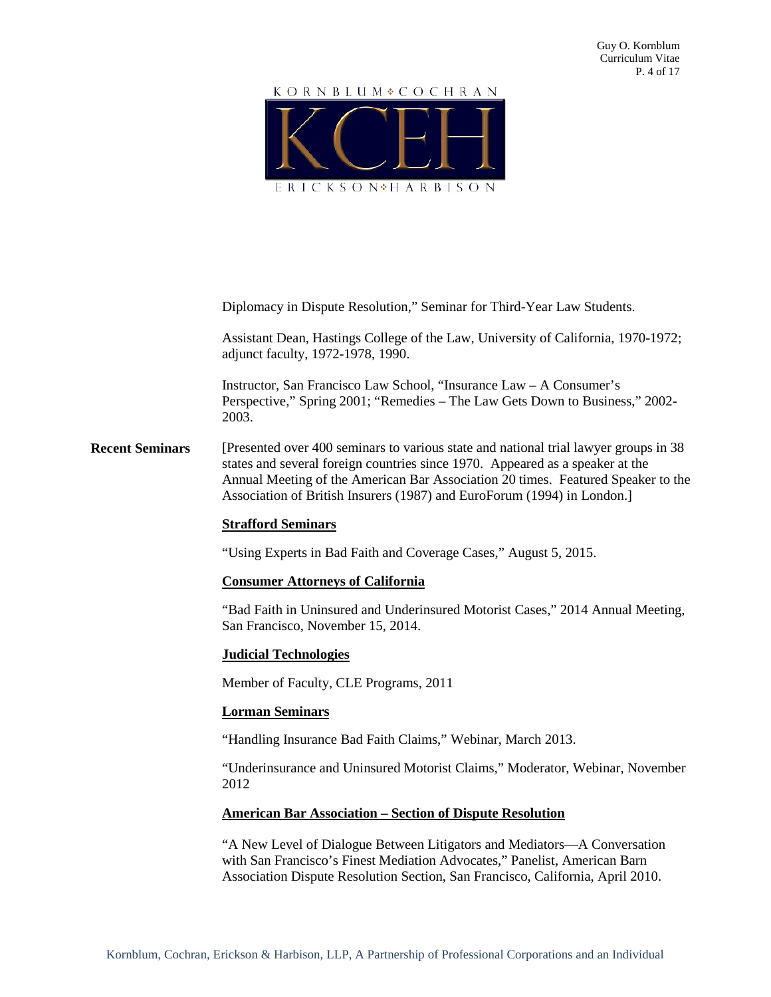# KORNBLUM COCHRAN ERICKSON<sup>\*</sup>HARBISON

Diplomacy in Dispute Resolution," Seminar for Third-Year Law Students.

Assistant Dean, Hastings College of the Law, University of California, 1970-1972; adjunct faculty, 1972-1978, 1990.

Instructor, San Francisco Law School, "Insurance Law – A Consumer's Perspective," Spring 2001; "Remedies – The Law Gets Down to Business," 2002- 2003.

**Recent Seminars** [Presented over 400 seminars to various state and national trial lawyer groups in 38 states and several foreign countries since 1970. Appeared as a speaker at the Annual Meeting of the American Bar Association 20 times. Featured Speaker to the Association of British Insurers (1987) and EuroForum (1994) in London.]

#### **Strafford Seminars**

"Using Experts in Bad Faith and Coverage Cases," August 5, 2015.

#### **Consumer Attorneys of California**

"Bad Faith in Uninsured and Underinsured Motorist Cases," 2014 Annual Meeting, San Francisco, November 15, 2014.

#### **Judicial Technologies**

Member of Faculty, CLE Programs, 2011

#### **Lorman Seminars**

"Handling Insurance Bad Faith Claims," Webinar, March 2013.

"Underinsurance and Uninsured Motorist Claims," Moderator, Webinar, November 2012

#### **American Bar Association – Section of Dispute Resolution**

"A New Level of Dialogue Between Litigators and Mediators—A Conversation with San Francisco's Finest Mediation Advocates," Panelist, American Barn Association Dispute Resolution Section, San Francisco, California, April 2010.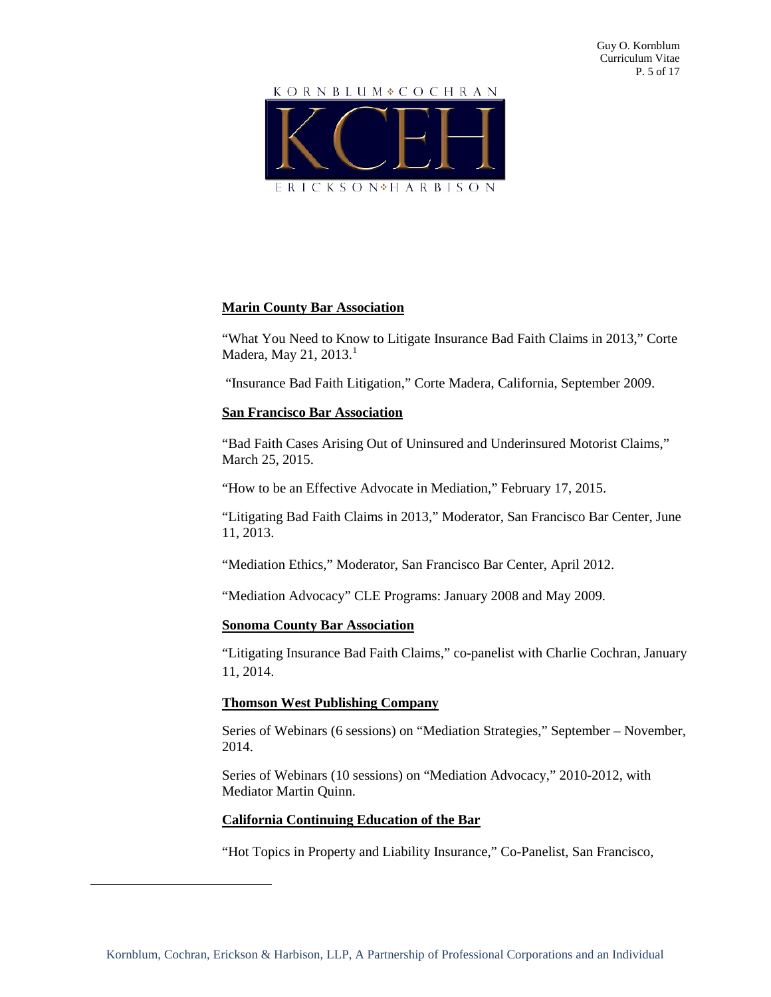

# **Marin County Bar Association**

"What You Need to Know to Litigate Insurance Bad Faith Claims in 2013," Corte Madera, May 21, 2013. [1](#page-4-0)

"Insurance Bad Faith Litigation," Corte Madera, California, September 2009.

#### **San Francisco Bar Association**

"Bad Faith Cases Arising Out of Uninsured and Underinsured Motorist Claims," March 25, 2015.

"How to be an Effective Advocate in Mediation," February 17, 2015.

"Litigating Bad Faith Claims in 2013," Moderator, San Francisco Bar Center, June 11, 2013.

"Mediation Ethics," Moderator, San Francisco Bar Center, April 2012.

"Mediation Advocacy" CLE Programs: January 2008 and May 2009.

#### **Sonoma County Bar Association**

"Litigating Insurance Bad Faith Claims," co-panelist with Charlie Cochran, January 11, 2014.

# **Thomson West Publishing Company**

Series of Webinars (6 sessions) on "Mediation Strategies," September – November, 2014.

Series of Webinars (10 sessions) on "Mediation Advocacy," 2010-2012, with Mediator Martin Quinn.

# **California Continuing Education of the Bar**

<span id="page-4-0"></span> $\overline{a}$ 

"Hot Topics in Property and Liability Insurance," Co-Panelist, San Francisco,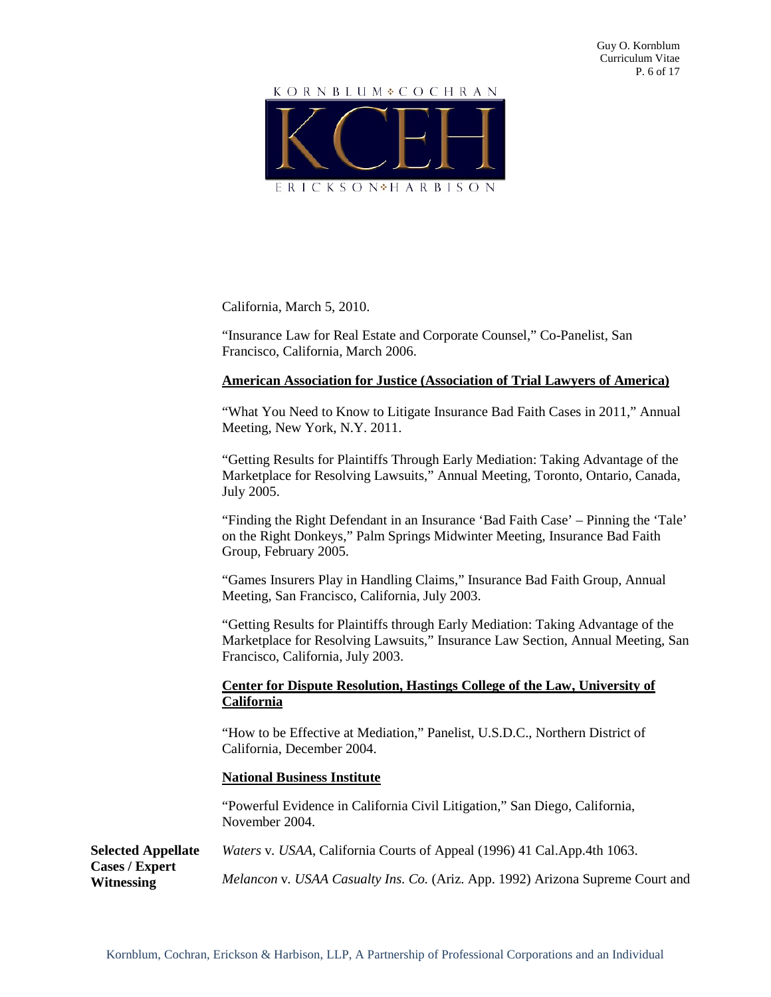

California, March 5, 2010.

"Insurance Law for Real Estate and Corporate Counsel," Co-Panelist, San Francisco, California, March 2006.

# **American Association for Justice (Association of Trial Lawyers of America)**

"What You Need to Know to Litigate Insurance Bad Faith Cases in 2011," Annual Meeting, New York, N.Y. 2011.

"Getting Results for Plaintiffs Through Early Mediation: Taking Advantage of the Marketplace for Resolving Lawsuits," Annual Meeting, Toronto, Ontario, Canada, July 2005.

"Finding the Right Defendant in an Insurance 'Bad Faith Case' – Pinning the 'Tale' on the Right Donkeys," Palm Springs Midwinter Meeting, Insurance Bad Faith Group, February 2005.

"Games Insurers Play in Handling Claims," Insurance Bad Faith Group, Annual Meeting, San Francisco, California, July 2003.

"Getting Results for Plaintiffs through Early Mediation: Taking Advantage of the Marketplace for Resolving Lawsuits," Insurance Law Section, Annual Meeting, San Francisco, California, July 2003.

# **Center for Dispute Resolution, Hastings College of the Law, University of California**

"How to be Effective at Mediation," Panelist, U.S.D.C., Northern District of California, December 2004.

# **National Business Institute**

**Cases / Expert Witnessing**

"Powerful Evidence in California Civil Litigation," San Diego, California, November 2004.

**Selected Appellate**  *Waters* v*. USAA*, California Courts of Appeal (1996) 41 Cal.App.4th 1063.

*Melancon* v*. USAA Casualty Ins. Co.* (Ariz. App. 1992) Arizona Supreme Court and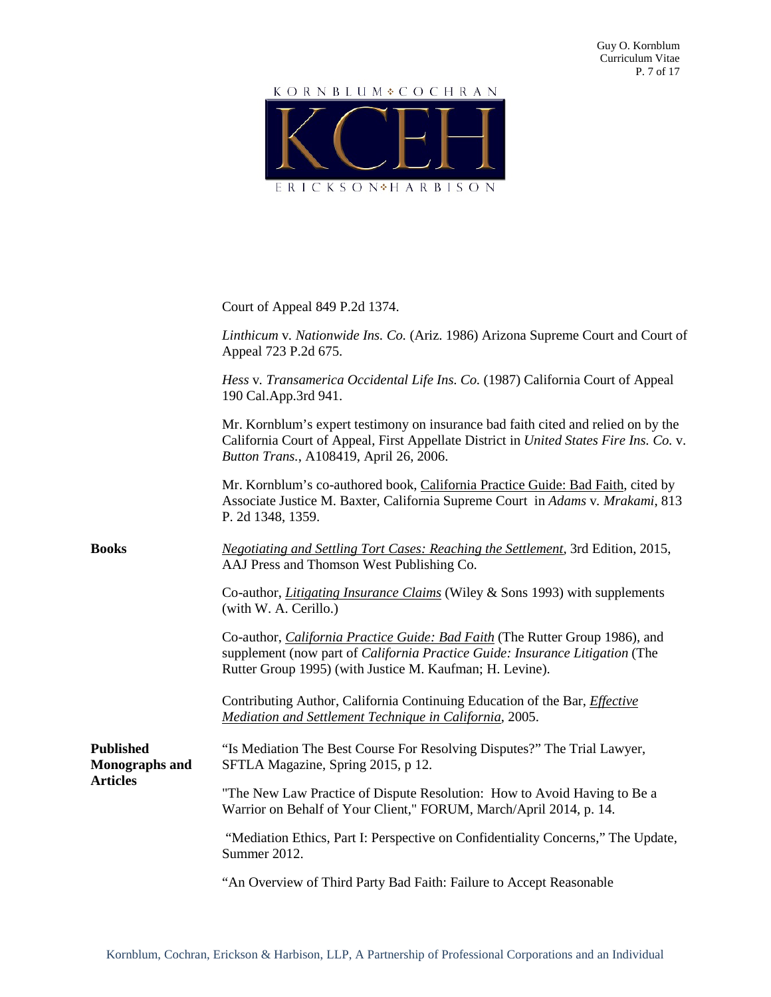# KORNBLUM COCHRAN ERICKSON<sup>\*</sup>HARBISON

|                                                              | Court of Appeal 849 P.2d 1374.                                                                                                                                                                                                  |
|--------------------------------------------------------------|---------------------------------------------------------------------------------------------------------------------------------------------------------------------------------------------------------------------------------|
|                                                              | Linthicum v. Nationwide Ins. Co. (Ariz. 1986) Arizona Supreme Court and Court of<br>Appeal 723 P.2d 675.                                                                                                                        |
|                                                              | Hess v. Transamerica Occidental Life Ins. Co. (1987) California Court of Appeal<br>190 Cal.App.3rd 941.                                                                                                                         |
|                                                              | Mr. Kornblum's expert testimony on insurance bad faith cited and relied on by the<br>California Court of Appeal, First Appellate District in United States Fire Ins. Co. v.<br>Button Trans., A108419, April 26, 2006.          |
|                                                              | Mr. Kornblum's co-authored book, California Practice Guide: Bad Faith, cited by<br>Associate Justice M. Baxter, California Supreme Court in Adams v. Mrakami, 813<br>P. 2d 1348, 1359.                                          |
| <b>Books</b>                                                 | <b>Negotiating and Settling Tort Cases: Reaching the Settlement, 3rd Edition, 2015,</b><br>AAJ Press and Thomson West Publishing Co.                                                                                            |
|                                                              | Co-author, <i>Litigating Insurance Claims</i> (Wiley & Sons 1993) with supplements<br>(with W. A. Cerillo.)                                                                                                                     |
|                                                              | Co-author, <i>California Practice Guide: Bad Faith</i> (The Rutter Group 1986), and<br>supplement (now part of California Practice Guide: Insurance Litigation (The<br>Rutter Group 1995) (with Justice M. Kaufman; H. Levine). |
|                                                              | Contributing Author, California Continuing Education of the Bar, <i>Effective</i><br>Mediation and Settlement Technique in California, 2005.                                                                                    |
| <b>Published</b><br><b>Monographs and</b><br><b>Articles</b> | "Is Mediation The Best Course For Resolving Disputes?" The Trial Lawyer,<br>SFTLA Magazine, Spring 2015, p 12.                                                                                                                  |
|                                                              | "The New Law Practice of Dispute Resolution: How to Avoid Having to Be a<br>Warrior on Behalf of Your Client," FORUM, March/April 2014, p. 14.                                                                                  |
|                                                              | "Mediation Ethics, Part I: Perspective on Confidentiality Concerns," The Update,<br>Summer 2012.                                                                                                                                |
|                                                              | "An Overview of Third Party Bad Faith: Failure to Accept Reasonable                                                                                                                                                             |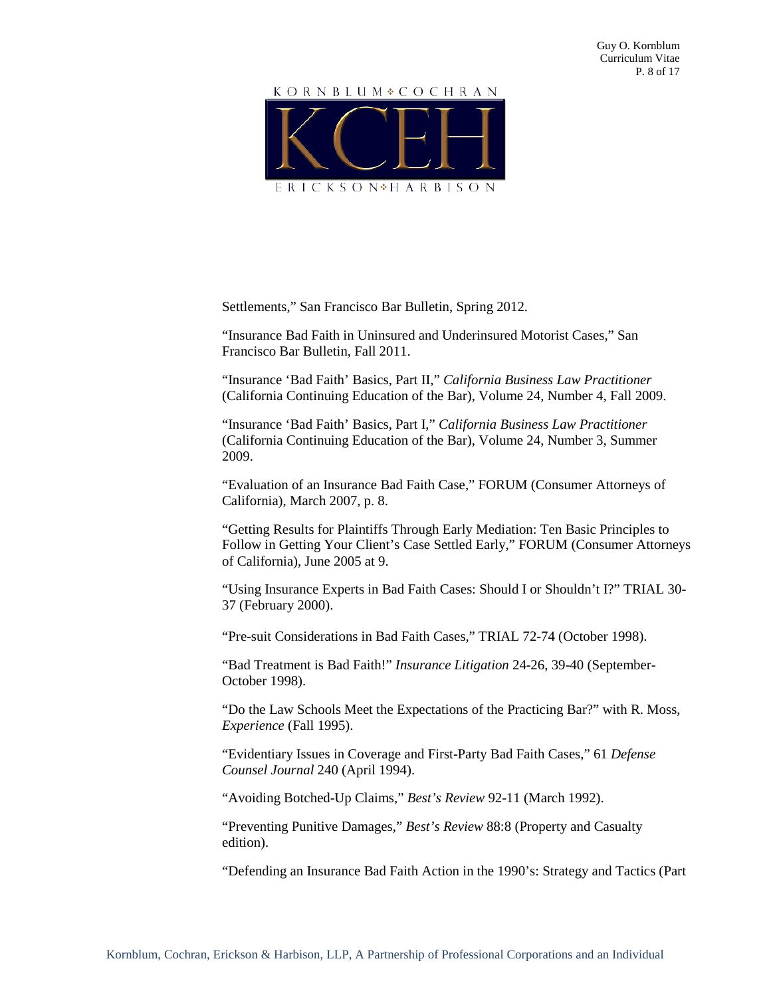

Settlements," San Francisco Bar Bulletin, Spring 2012.

"Insurance Bad Faith in Uninsured and Underinsured Motorist Cases," San Francisco Bar Bulletin, Fall 2011.

"Insurance 'Bad Faith' Basics, Part II," *California Business Law Practitioner* (California Continuing Education of the Bar), Volume 24, Number 4, Fall 2009.

"Insurance 'Bad Faith' Basics, Part I," *California Business Law Practitioner* (California Continuing Education of the Bar), Volume 24, Number 3, Summer 2009.

"Evaluation of an Insurance Bad Faith Case," FORUM (Consumer Attorneys of California), March 2007, p. 8.

"Getting Results for Plaintiffs Through Early Mediation: Ten Basic Principles to Follow in Getting Your Client's Case Settled Early," FORUM (Consumer Attorneys of California), June 2005 at 9.

"Using Insurance Experts in Bad Faith Cases: Should I or Shouldn't I?" TRIAL 30- 37 (February 2000).

"Pre-suit Considerations in Bad Faith Cases," TRIAL 72-74 (October 1998).

"Bad Treatment is Bad Faith!" *Insurance Litigation* 24-26, 39-40 (September-October 1998).

"Do the Law Schools Meet the Expectations of the Practicing Bar?" with R. Moss, *Experience* (Fall 1995).

"Evidentiary Issues in Coverage and First-Party Bad Faith Cases," 61 *Defense Counsel Journal* 240 (April 1994).

"Avoiding Botched-Up Claims," *Best's Review* 92-11 (March 1992).

"Preventing Punitive Damages," *Best's Review* 88:8 (Property and Casualty edition).

"Defending an Insurance Bad Faith Action in the 1990's: Strategy and Tactics (Part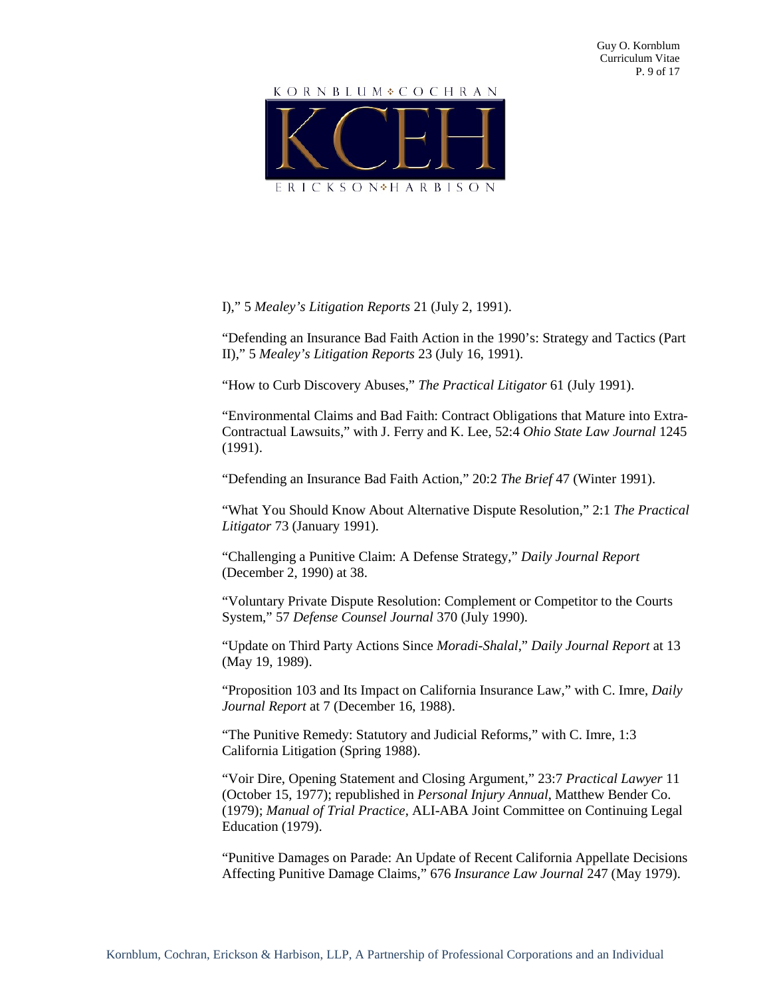# KORNBLUM COCHRAN



#### I)," 5 *Mealey's Litigation Reports* 21 (July 2, 1991).

"Defending an Insurance Bad Faith Action in the 1990's: Strategy and Tactics (Part II)," 5 *Mealey's Litigation Reports* 23 (July 16, 1991).

"How to Curb Discovery Abuses," *The Practical Litigator* 61 (July 1991).

"Environmental Claims and Bad Faith: Contract Obligations that Mature into Extra-Contractual Lawsuits," with J. Ferry and K. Lee, 52:4 *Ohio State Law Journal* 1245 (1991).

"Defending an Insurance Bad Faith Action," 20:2 *The Brief* 47 (Winter 1991).

"What You Should Know About Alternative Dispute Resolution," 2:1 *The Practical Litigator* 73 (January 1991).

"Challenging a Punitive Claim: A Defense Strategy," *Daily Journal Report* (December 2, 1990) at 38.

"Voluntary Private Dispute Resolution: Complement or Competitor to the Courts System," 57 *Defense Counsel Journal* 370 (July 1990).

"Update on Third Party Actions Since *Moradi-Shalal*," *Daily Journal Report* at 13 (May 19, 1989).

"Proposition 103 and Its Impact on California Insurance Law," with C. Imre, *Daily Journal Report* at 7 (December 16, 1988).

"The Punitive Remedy: Statutory and Judicial Reforms," with C. Imre, 1:3 California Litigation (Spring 1988).

"Voir Dire, Opening Statement and Closing Argument," 23:7 *Practical Lawyer* 11 (October 15, 1977); republished in *Personal Injury Annual*, Matthew Bender Co. (1979); *Manual of Trial Practice*, ALI-ABA Joint Committee on Continuing Legal Education (1979).

"Punitive Damages on Parade: An Update of Recent California Appellate Decisions Affecting Punitive Damage Claims," 676 *Insurance Law Journal* 247 (May 1979).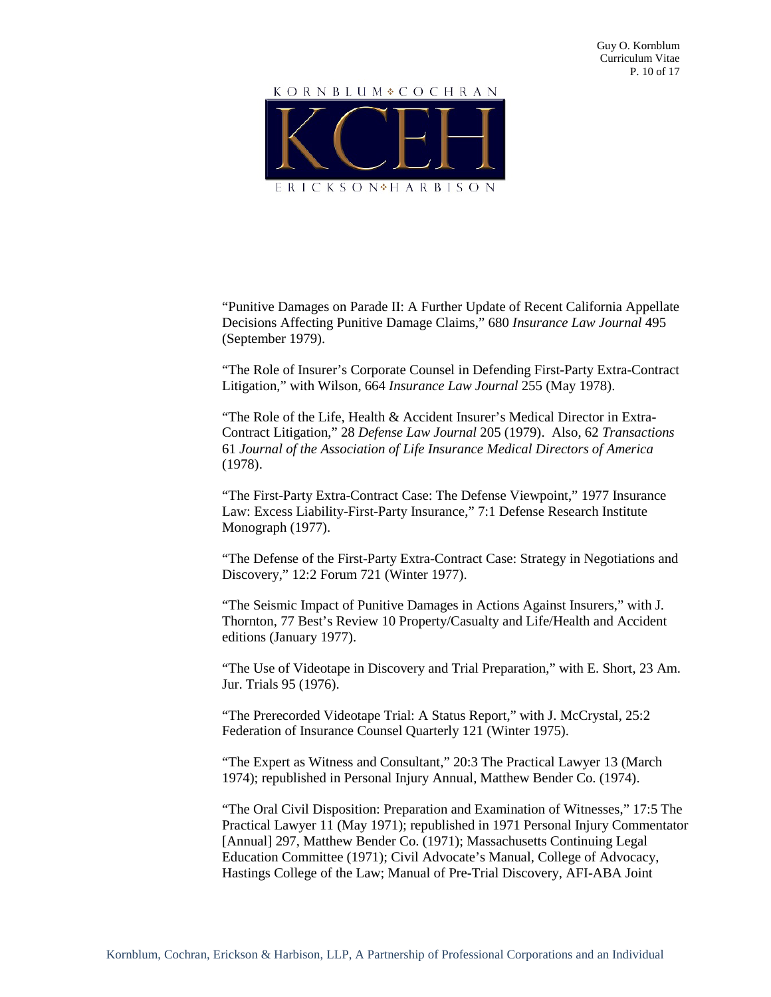

"Punitive Damages on Parade II: A Further Update of Recent California Appellate Decisions Affecting Punitive Damage Claims," 680 *Insurance Law Journal* 495 (September 1979).

"The Role of Insurer's Corporate Counsel in Defending First-Party Extra-Contract Litigation," with Wilson, 664 *Insurance Law Journal* 255 (May 1978).

"The Role of the Life, Health & Accident Insurer's Medical Director in Extra-Contract Litigation," 28 *Defense Law Journal* 205 (1979). Also, 62 *Transactions* 61 *Journal of the Association of Life Insurance Medical Directors of America* (1978).

"The First-Party Extra-Contract Case: The Defense Viewpoint," 1977 Insurance Law: Excess Liability-First-Party Insurance," 7:1 Defense Research Institute Monograph (1977).

"The Defense of the First-Party Extra-Contract Case: Strategy in Negotiations and Discovery," 12:2 Forum 721 (Winter 1977).

"The Seismic Impact of Punitive Damages in Actions Against Insurers," with J. Thornton, 77 Best's Review 10 Property/Casualty and Life/Health and Accident editions (January 1977).

"The Use of Videotape in Discovery and Trial Preparation," with E. Short, 23 Am. Jur. Trials 95 (1976).

"The Prerecorded Videotape Trial: A Status Report," with J. McCrystal, 25:2 Federation of Insurance Counsel Quarterly 121 (Winter 1975).

"The Expert as Witness and Consultant," 20:3 The Practical Lawyer 13 (March 1974); republished in Personal Injury Annual, Matthew Bender Co. (1974).

"The Oral Civil Disposition: Preparation and Examination of Witnesses," 17:5 The Practical Lawyer 11 (May 1971); republished in 1971 Personal Injury Commentator [Annual] 297, Matthew Bender Co. (1971); Massachusetts Continuing Legal Education Committee (1971); Civil Advocate's Manual, College of Advocacy, Hastings College of the Law; Manual of Pre-Trial Discovery, AFI-ABA Joint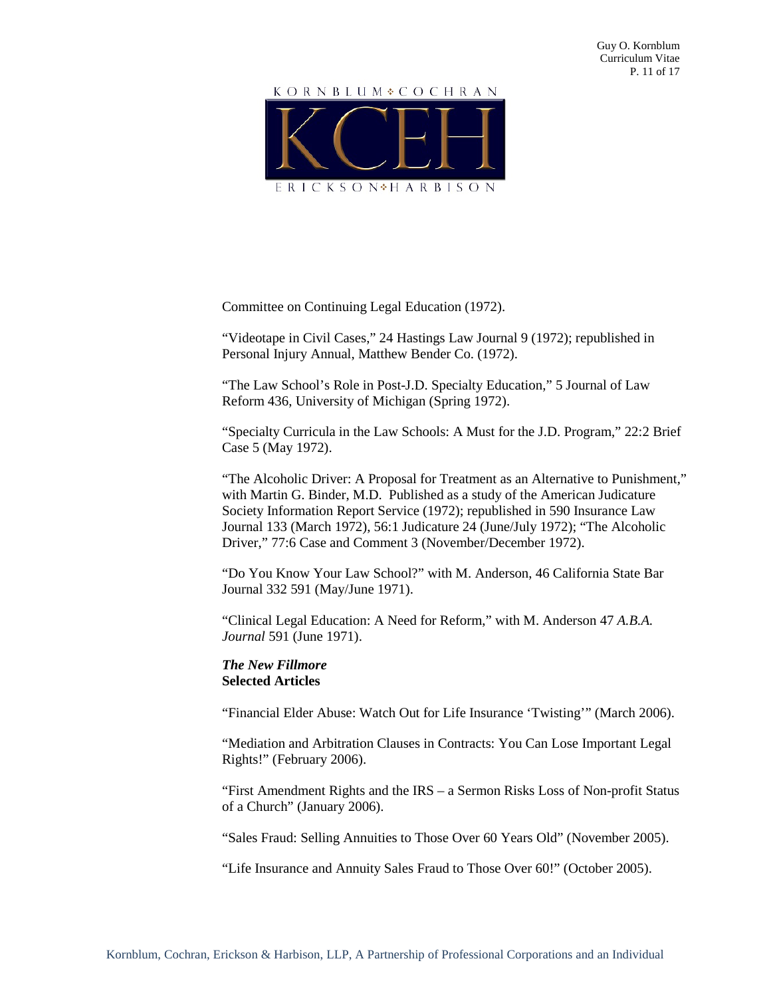

Committee on Continuing Legal Education (1972).

"Videotape in Civil Cases," 24 Hastings Law Journal 9 (1972); republished in Personal Injury Annual, Matthew Bender Co. (1972).

"The Law School's Role in Post-J.D. Specialty Education," 5 Journal of Law Reform 436, University of Michigan (Spring 1972).

"Specialty Curricula in the Law Schools: A Must for the J.D. Program," 22:2 Brief Case 5 (May 1972).

"The Alcoholic Driver: A Proposal for Treatment as an Alternative to Punishment," with Martin G. Binder, M.D. Published as a study of the American Judicature Society Information Report Service (1972); republished in 590 Insurance Law Journal 133 (March 1972), 56:1 Judicature 24 (June/July 1972); "The Alcoholic Driver," 77:6 Case and Comment 3 (November/December 1972).

"Do You Know Your Law School?" with M. Anderson, 46 California State Bar Journal 332 591 (May/June 1971).

"Clinical Legal Education: A Need for Reform," with M. Anderson 47 *A.B.A. Journal* 591 (June 1971).

# *The New Fillmore* **Selected Articles**

"Financial Elder Abuse: Watch Out for Life Insurance 'Twisting'" (March 2006).

"Mediation and Arbitration Clauses in Contracts: You Can Lose Important Legal Rights!" (February 2006).

"First Amendment Rights and the IRS – a Sermon Risks Loss of Non-profit Status of a Church" (January 2006).

"Sales Fraud: Selling Annuities to Those Over 60 Years Old" (November 2005).

"Life Insurance and Annuity Sales Fraud to Those Over 60!" (October 2005).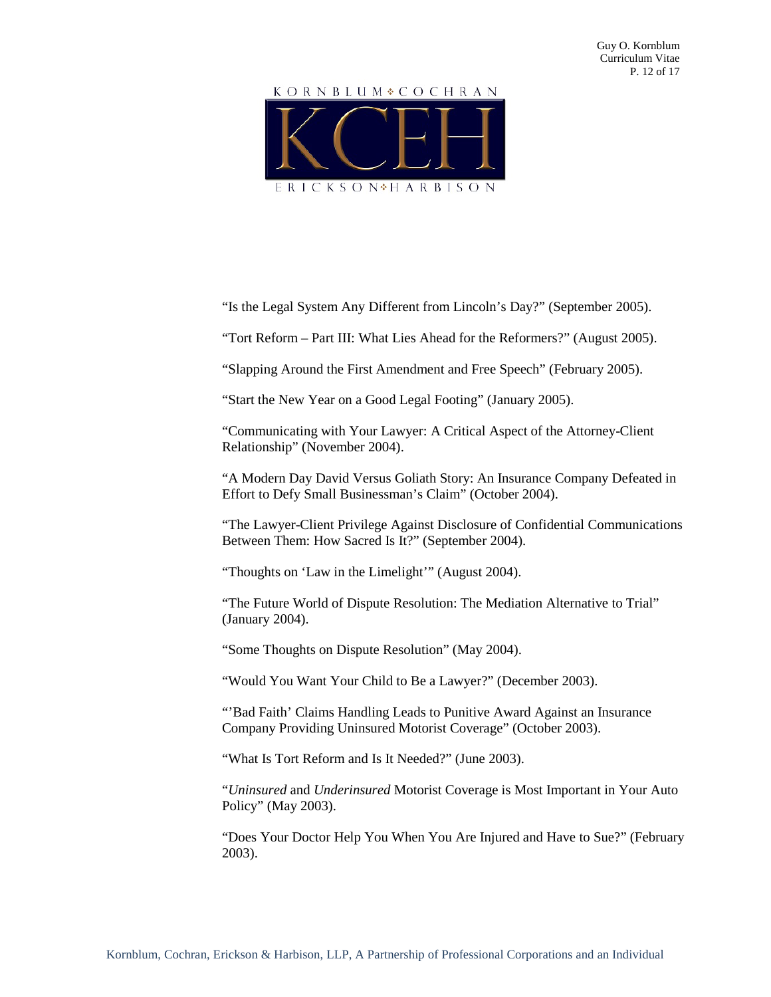# KORNBLUM COCHRAN ERICKSON<sup>\*</sup>HARBISON

"Is the Legal System Any Different from Lincoln's Day?" (September 2005).

"Tort Reform – Part III: What Lies Ahead for the Reformers?" (August 2005).

"Slapping Around the First Amendment and Free Speech" (February 2005).

"Start the New Year on a Good Legal Footing" (January 2005).

"Communicating with Your Lawyer: A Critical Aspect of the Attorney-Client Relationship" (November 2004).

"A Modern Day David Versus Goliath Story: An Insurance Company Defeated in Effort to Defy Small Businessman's Claim" (October 2004).

"The Lawyer-Client Privilege Against Disclosure of Confidential Communications Between Them: How Sacred Is It?" (September 2004).

"Thoughts on 'Law in the Limelight'" (August 2004).

"The Future World of Dispute Resolution: The Mediation Alternative to Trial" (January 2004).

"Some Thoughts on Dispute Resolution" (May 2004).

"Would You Want Your Child to Be a Lawyer?" (December 2003).

"'Bad Faith' Claims Handling Leads to Punitive Award Against an Insurance Company Providing Uninsured Motorist Coverage" (October 2003).

"What Is Tort Reform and Is It Needed?" (June 2003).

"*Uninsured* and *Underinsured* Motorist Coverage is Most Important in Your Auto Policy" (May 2003).

"Does Your Doctor Help You When You Are Injured and Have to Sue?" (February 2003).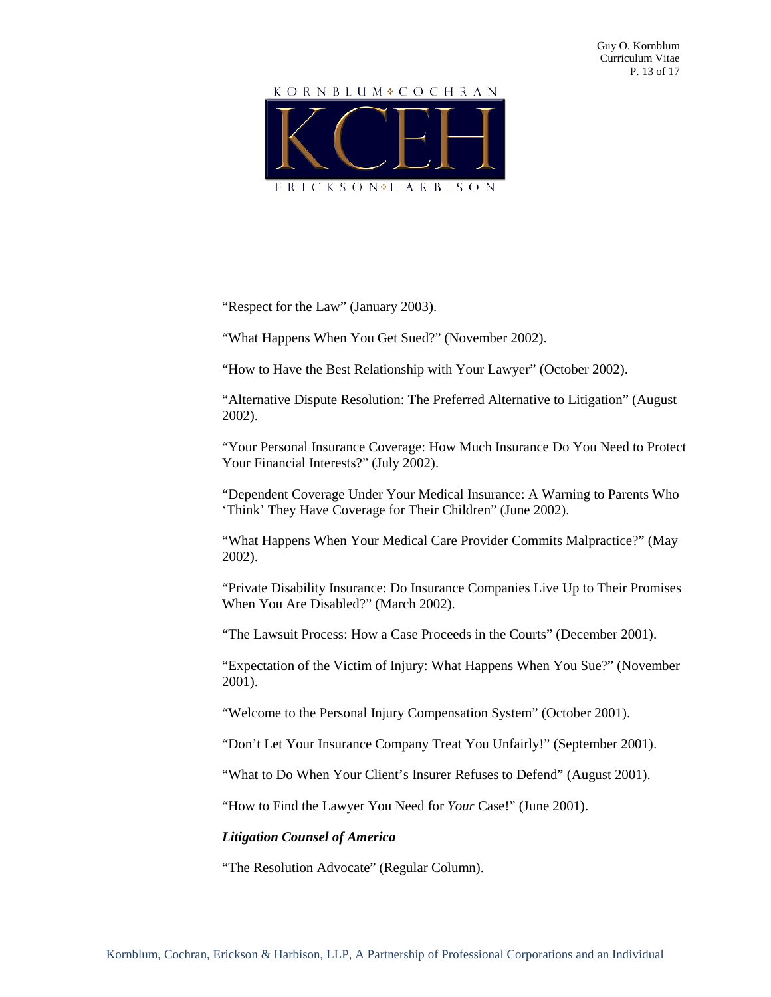# KORNBLUM COCHRAN



"Respect for the Law" (January 2003).

"What Happens When You Get Sued?" (November 2002).

"How to Have the Best Relationship with Your Lawyer" (October 2002).

"Alternative Dispute Resolution: The Preferred Alternative to Litigation" (August 2002).

"Your Personal Insurance Coverage: How Much Insurance Do You Need to Protect Your Financial Interests?" (July 2002).

"Dependent Coverage Under Your Medical Insurance: A Warning to Parents Who 'Think' They Have Coverage for Their Children" (June 2002).

"What Happens When Your Medical Care Provider Commits Malpractice?" (May 2002).

"Private Disability Insurance: Do Insurance Companies Live Up to Their Promises When You Are Disabled?" (March 2002).

"The Lawsuit Process: How a Case Proceeds in the Courts" (December 2001).

"Expectation of the Victim of Injury: What Happens When You Sue?" (November 2001).

"Welcome to the Personal Injury Compensation System" (October 2001).

"Don't Let Your Insurance Company Treat You Unfairly!" (September 2001).

"What to Do When Your Client's Insurer Refuses to Defend" (August 2001).

"How to Find the Lawyer You Need for *Your* Case!" (June 2001).

#### *Litigation Counsel of America*

"The Resolution Advocate" (Regular Column).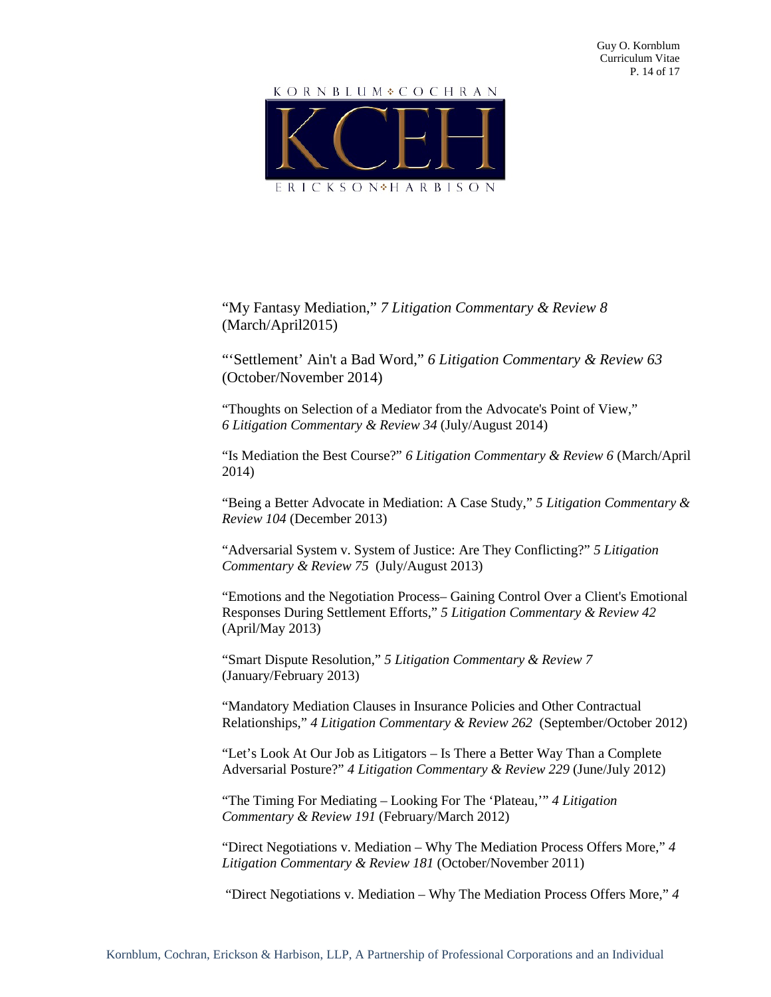

"My Fantasy Mediation," *7 Litigation Commentary & Review 8* (March/April2015)

"'Settlement' Ain't a Bad Word," *6 Litigation Commentary & Review 63* (October/November 2014)

"Thoughts on Selection of a Mediator from the Advocate's Point of View," *6 Litigation Commentary & Review 34* (July/August 2014)

"Is Mediation the Best Course?" *6 Litigation Commentary & Review 6* (March/April 2014)

"Being a Better Advocate in Mediation: A Case Study," *5 Litigation Commentary & Review 104* (December 2013)

"Adversarial System v. System of Justice: Are They Conflicting?" *5 Litigation Commentary & Review 75* (July/August 2013)

"Emotions and the Negotiation Process– Gaining Control Over a Client's Emotional Responses During Settlement Efforts," *5 Litigation Commentary & Review 42*  (April/May 2013)

"Smart Dispute Resolution," *5 Litigation Commentary & Review 7*  (January/February 2013)

"Mandatory Mediation Clauses in Insurance Policies and Other Contractual Relationships," *4 Litigation Commentary & Review 262* (September/October 2012)

"Let's Look At Our Job as Litigators – Is There a Better Way Than a Complete Adversarial Posture?" *4 Litigation Commentary & Review 229* (June/July 2012)

"The Timing For Mediating – Looking For The 'Plateau,'" *4 Litigation Commentary & Review 191* (February/March 2012)

"Direct Negotiations v. Mediation – Why The Mediation Process Offers More," *4 Litigation Commentary & Review 181* (October/November 2011)

"Direct Negotiations v. Mediation – Why The Mediation Process Offers More," *4*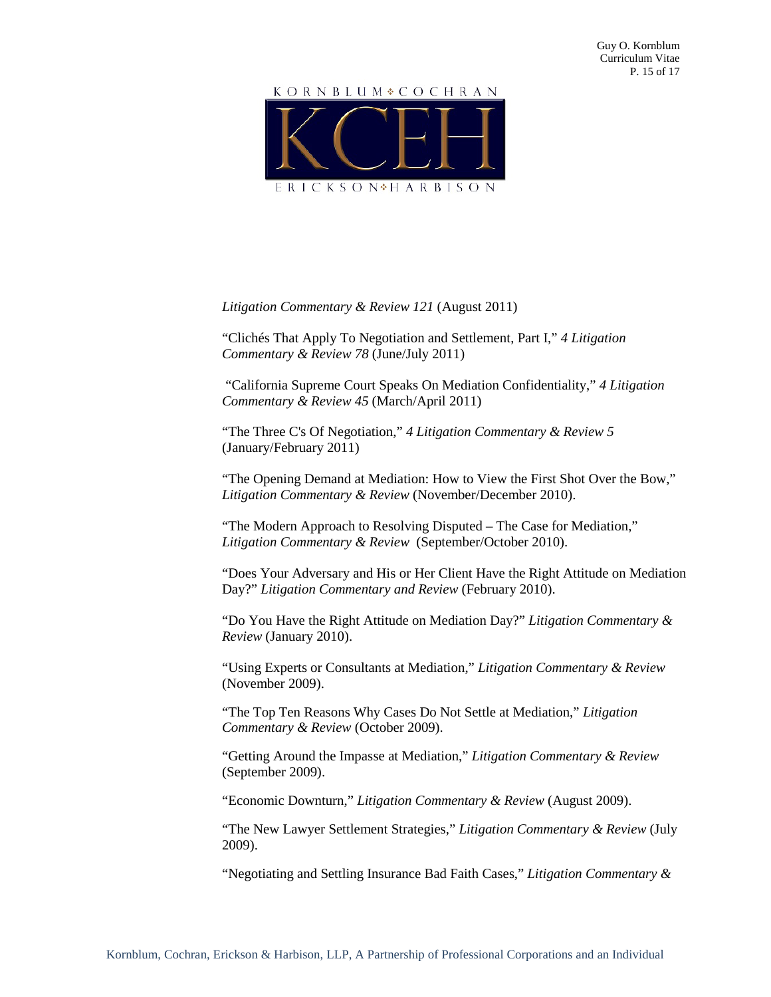# KORNBLUM COCHRAN

ERICKSON<sup>\*</sup>HARBISON

# *Litigation Commentary & Review 121* (August 2011)

"Clichés That Apply To Negotiation and Settlement, Part I," *4 Litigation Commentary & Review 78* (June/July 2011)

"California Supreme Court Speaks On Mediation Confidentiality," *4 Litigation Commentary & Review 45* (March/April 2011)

"The Three C's Of Negotiation," *4 Litigation Commentary & Review 5* (January/February 2011)

"The Opening Demand at Mediation: How to View the First Shot Over the Bow," *Litigation Commentary & Review* (November/December 2010).

"The Modern Approach to Resolving Disputed – The Case for Mediation," *Litigation Commentary & Review* (September/October 2010).

"Does Your Adversary and His or Her Client Have the Right Attitude on Mediation Day?" *Litigation Commentary and Review* (February 2010).

"Do You Have the Right Attitude on Mediation Day?" *Litigation Commentary & Review* (January 2010).

"Using Experts or Consultants at Mediation," *Litigation Commentary & Review* (November 2009).

"The Top Ten Reasons Why Cases Do Not Settle at Mediation," *Litigation Commentary & Review* (October 2009).

"Getting Around the Impasse at Mediation," *Litigation Commentary & Review* (September 2009).

"Economic Downturn," *Litigation Commentary & Review* (August 2009).

"The New Lawyer Settlement Strategies," *Litigation Commentary & Review* (July 2009).

"Negotiating and Settling Insurance Bad Faith Cases," *Litigation Commentary &*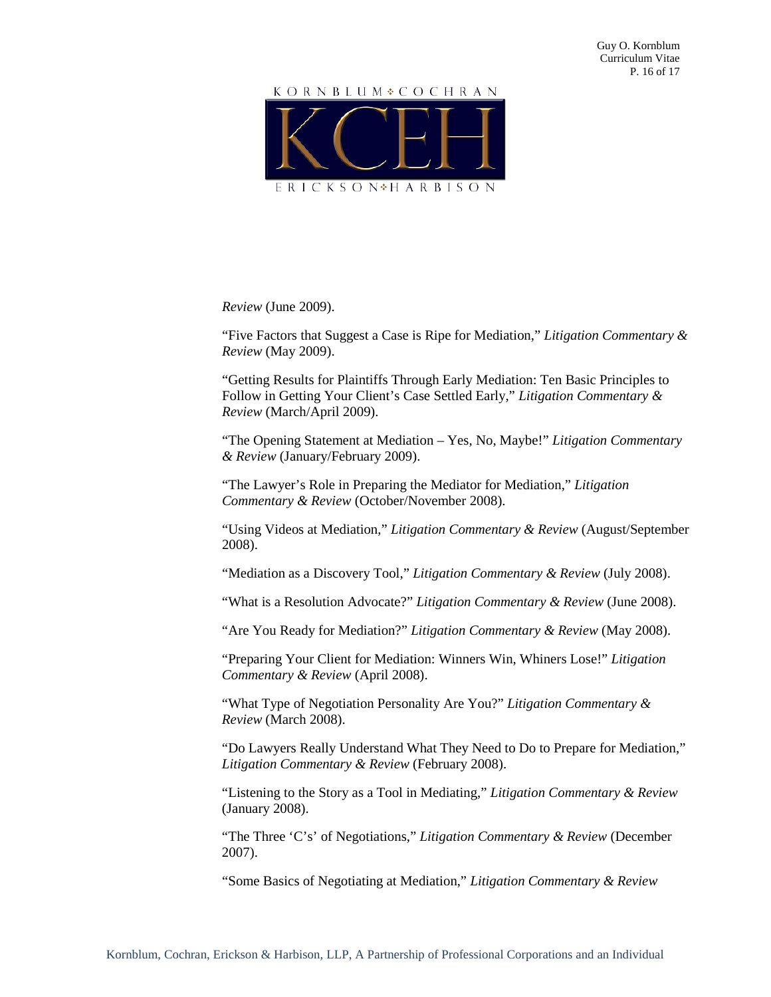

*Review* (June 2009).

"Five Factors that Suggest a Case is Ripe for Mediation," *Litigation Commentary & Review* (May 2009).

"Getting Results for Plaintiffs Through Early Mediation: Ten Basic Principles to Follow in Getting Your Client's Case Settled Early," *Litigation Commentary & Review* (March/April 2009).

"The Opening Statement at Mediation – Yes, No, Maybe!" *Litigation Commentary & Review* (January/February 2009).

"The Lawyer's Role in Preparing the Mediator for Mediation," *Litigation Commentary & Review* (October/November 2008).

"Using Videos at Mediation," *Litigation Commentary & Review* (August/September 2008).

"Mediation as a Discovery Tool," *Litigation Commentary & Review* (July 2008).

"What is a Resolution Advocate?" *Litigation Commentary & Review* (June 2008).

"Are You Ready for Mediation?" *Litigation Commentary & Review* (May 2008).

"Preparing Your Client for Mediation: Winners Win, Whiners Lose!" *Litigation Commentary & Review* (April 2008).

"What Type of Negotiation Personality Are You?" *Litigation Commentary & Review* (March 2008).

"Do Lawyers Really Understand What They Need to Do to Prepare for Mediation," *Litigation Commentary & Review* (February 2008).

"Listening to the Story as a Tool in Mediating," *Litigation Commentary & Review* (January 2008).

"The Three 'C's' of Negotiations," *Litigation Commentary & Review* (December 2007).

"Some Basics of Negotiating at Mediation," *Litigation Commentary & Review*